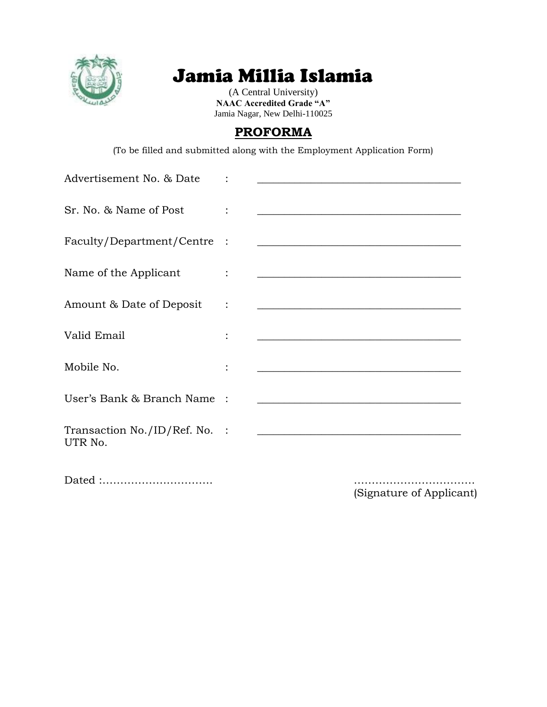

# Jamia Millia Islamia

(A Central University) **NAAC Accredited Grade "A"** Jamia Nagar, New Delhi-110025

### **PROFORMA**

(To be filled and submitted along with the Employment Application Form)

| Advertisement No. & Date                 | <u> 1980 - Andrea Barbara, amerikan personal (h. 1980).</u>                                                           |
|------------------------------------------|-----------------------------------------------------------------------------------------------------------------------|
| Sr. No. & Name of Post                   | <u> 1989 - Johann Harry Harry Harry Harry Harry Harry Harry Harry Harry Harry Harry Harry Harry Harry Harry Harry</u> |
| Faculty/Department/Centre :              | <u> 1989 - Johann Harry Harry Harry Harry Harry Harry Harry Harry Harry Harry Harry Harry Harry Harry Harry Harry</u> |
| Name of the Applicant                    | <u> Alexandria de la contrada de la contrada de la contrada de la contrada de la contrada de la contrada de la c</u>  |
| Amount & Date of Deposit                 | <u> Alexandria de la contrada de la contrada de la contrada de la contrada de la contrada de la contrada de la c</u>  |
| Valid Email                              | <u> 1980 - Andrea Station, amerikansk politik (</u>                                                                   |
| Mobile No.                               | <u> 1989 - Johann Barn, mars eta bainar eta baina eta baina eta baina eta baina eta baina eta baina eta baina e</u>   |
| User's Bank & Branch Name                | <u> 1989 - Johann Barbara, martxa alemaniar arg</u>                                                                   |
| Transaction No./ID/Ref. No. :<br>UTR No. | <u> 1980 - Andrea Andrew Maria (h. 1980).</u>                                                                         |
|                                          |                                                                                                                       |

(Signature of Applicant)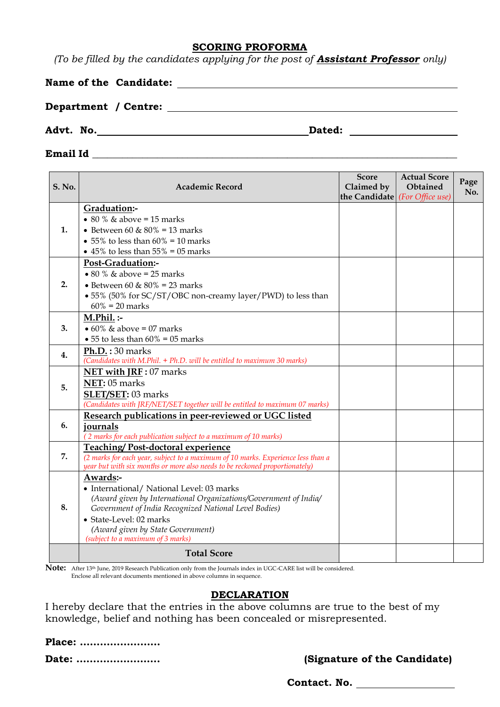#### **SCORING PROFORMA**

*(To be filled by the candidates applying for the post of Assistant Professor only)*

|  |  | Name of the Candidate: |
|--|--|------------------------|
|--|--|------------------------|

**Department / Centre:**

**Advt. No. Dated:** 

#### **Email Id** \_\_\_\_\_\_\_\_\_\_\_\_\_\_\_\_\_\_\_\_\_\_\_\_\_\_\_\_\_\_\_\_\_\_\_\_\_\_\_\_\_\_\_\_\_\_\_\_\_\_\_\_\_\_\_\_\_\_\_\_\_\_\_\_\_\_\_\_\_\_\_\_\_

| <b>S. No.</b> | <b>Academic Record</b>                                                                                                                                                                                                                                                                  | <b>Score</b><br>Claimed by<br>the Candidate (For Office use) | <b>Actual Score</b><br>Obtained | Page<br>No. |
|---------------|-----------------------------------------------------------------------------------------------------------------------------------------------------------------------------------------------------------------------------------------------------------------------------------------|--------------------------------------------------------------|---------------------------------|-------------|
| 1.            | Graduation:-<br>• 80 % $\&$ above = 15 marks<br>• Between 60 & $80\%$ = 13 marks<br>• 55% to less than $60\% = 10$ marks                                                                                                                                                                |                                                              |                                 |             |
|               | • 45% to less than $55\% = 05$ marks<br>Post-Graduation:-                                                                                                                                                                                                                               |                                                              |                                 |             |
| 2.            | $\bullet$ 80 % & above = 25 marks<br>• Between 60 & $80\%$ = 23 marks<br>• 55% (50% for SC/ST/OBC non-creamy layer/PWD) to less than<br>$60\% = 20$ marks                                                                                                                               |                                                              |                                 |             |
| 3.            | $M.Phil.$ :-<br>$\bullet$ 60% & above = 07 marks<br>$\bullet$ 55 to less than 60% = 05 marks                                                                                                                                                                                            |                                                              |                                 |             |
| 4.            | Ph.D. : 30 marks<br>(Candidates with M.Phil. + Ph.D. will be entitled to maximum 30 marks)                                                                                                                                                                                              |                                                              |                                 |             |
| 5.            | NET with JRF: 07 marks<br>NET: 05 marks<br>SLET/SET: 03 marks<br>(Candidates with JRF/NET/SET together will be entitled to maximum 07 marks)                                                                                                                                            |                                                              |                                 |             |
| 6.            | Research publications in peer-reviewed or UGC listed<br>journals<br>(2 marks for each publication subject to a maximum of 10 marks)                                                                                                                                                     |                                                              |                                 |             |
| 7.            | Teaching/Post-doctoral experience<br>(2 marks for each year, subject to a maximum of 10 marks. Experience less than a<br>year but with six months or more also needs to be reckoned proportionately)                                                                                    |                                                              |                                 |             |
| 8.            | Awards:-<br>• International/ National Level: 03 marks<br>(Award given by International Organizations/Government of India/<br>Government of India Recognized National Level Bodies)<br>• State-Level: 02 marks<br>(Award given by State Government)<br>(subject to a maximum of 3 marks) |                                                              |                                 |             |
|               | <b>Total Score</b>                                                                                                                                                                                                                                                                      |                                                              |                                 |             |

**Note:** After 13th June, 2019 Research Publication only from the Journals index in UGC-CARE list will be considered. Enclose all relevant documents mentioned in above columns in sequence.

### **DECLARATION**

I hereby declare that the entries in the above columns are true to the best of my knowledge, belief and nothing has been concealed or misrepresented.

| Place: |  |  |  |  |  |  |  |  |  |  |  |  |
|--------|--|--|--|--|--|--|--|--|--|--|--|--|
| Date:  |  |  |  |  |  |  |  |  |  |  |  |  |

**(Signature of the Candidate)** 

**Contact. No.**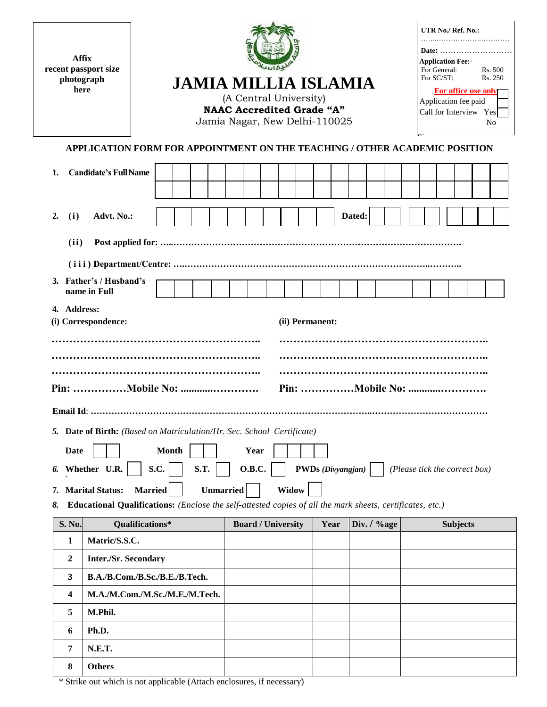| <b>Affix</b><br>recent passport size<br>photograph<br>here |                                                                                                                                                                                                                                                        |                      | <b>JAMIA MILLIA ISLAMIA</b><br>Jamia Nagar, New Delhi-110025 |                       | (A Central University)<br><b>NAAC Accredited Grade "A"</b> |                          |        |             |                               | For SC/ST: | UTR No./ Ref. No.:<br><b>Application Fee:-</b><br>For General:<br>For <u>office</u> use only<br>Application fee paid<br>Call for Interview Yes |  | Date:<br>Rs. 500<br>Rs. 250<br>No |
|------------------------------------------------------------|--------------------------------------------------------------------------------------------------------------------------------------------------------------------------------------------------------------------------------------------------------|----------------------|--------------------------------------------------------------|-----------------------|------------------------------------------------------------|--------------------------|--------|-------------|-------------------------------|------------|------------------------------------------------------------------------------------------------------------------------------------------------|--|-----------------------------------|
|                                                            | APPLICATION FORM FOR APPOINTMENT ON THE TEACHING / OTHER ACADEMIC POSITION                                                                                                                                                                             |                      |                                                              |                       |                                                            |                          |        |             |                               |            |                                                                                                                                                |  |                                   |
| 1.                                                         | <b>Candidate's Full Name</b>                                                                                                                                                                                                                           |                      |                                                              |                       |                                                            |                          |        |             |                               |            |                                                                                                                                                |  |                                   |
| (i)<br>2.                                                  | Advt. No.:                                                                                                                                                                                                                                             |                      |                                                              |                       |                                                            |                          | Dated: |             |                               |            |                                                                                                                                                |  |                                   |
| (ii)                                                       |                                                                                                                                                                                                                                                        |                      |                                                              |                       |                                                            |                          |        |             |                               |            |                                                                                                                                                |  |                                   |
|                                                            |                                                                                                                                                                                                                                                        |                      |                                                              |                       |                                                            |                          |        |             |                               |            |                                                                                                                                                |  |                                   |
|                                                            | 3. Father's / Husband's                                                                                                                                                                                                                                |                      |                                                              |                       |                                                            |                          |        |             |                               |            |                                                                                                                                                |  |                                   |
|                                                            | name in Full                                                                                                                                                                                                                                           |                      |                                                              |                       |                                                            |                          |        |             |                               |            |                                                                                                                                                |  |                                   |
| 4. Address:                                                | (i) Correspondence:                                                                                                                                                                                                                                    |                      |                                                              |                       | (ii) Permanent:                                            |                          |        |             |                               |            |                                                                                                                                                |  |                                   |
| <b>Date</b><br>6.<br>7.<br>8.                              | 5. Date of Birth: (Based on Matriculation/Hr. Sec. School Certificate)<br>Whether U.R.<br><b>Married</b><br><b>Marital Status:</b><br><b>Educational Qualifications:</b> (Enclose the self-attested copies of all the mark sheets, certificates, etc.) | <b>Month</b><br>S.C. | S.T.<br><b>Unmarried</b>                                     | Year<br><b>O.B.C.</b> | Widow                                                      | <b>PWDs</b> (Divyangjan) |        |             | (Please tick the correct box) |            |                                                                                                                                                |  |                                   |
| S. No.                                                     | Qualifications*                                                                                                                                                                                                                                        |                      |                                                              |                       | <b>Board / University</b>                                  | Year                     |        | Div. / %age |                               |            | <b>Subjects</b>                                                                                                                                |  |                                   |
| 1                                                          | Matric/S.S.C.                                                                                                                                                                                                                                          |                      |                                                              |                       |                                                            |                          |        |             |                               |            |                                                                                                                                                |  |                                   |
| 2                                                          | <b>Inter./Sr. Secondary</b>                                                                                                                                                                                                                            |                      |                                                              |                       |                                                            |                          |        |             |                               |            |                                                                                                                                                |  |                                   |
| 3                                                          | B.A./B.Com./B.Sc./B.E./B.Tech.                                                                                                                                                                                                                         |                      |                                                              |                       |                                                            |                          |        |             |                               |            |                                                                                                                                                |  |                                   |
| 4                                                          | M.A./M.Com./M.Sc./M.E./M.Tech.                                                                                                                                                                                                                         |                      |                                                              |                       |                                                            |                          |        |             |                               |            |                                                                                                                                                |  |                                   |
| 5                                                          | M.Phil.                                                                                                                                                                                                                                                |                      |                                                              |                       |                                                            |                          |        |             |                               |            |                                                                                                                                                |  |                                   |
| 6                                                          | Ph.D.                                                                                                                                                                                                                                                  |                      |                                                              |                       |                                                            |                          |        |             |                               |            |                                                                                                                                                |  |                                   |
| 7                                                          | <b>N.E.T.</b>                                                                                                                                                                                                                                          |                      |                                                              |                       |                                                            |                          |        |             |                               |            |                                                                                                                                                |  |                                   |
| 8                                                          | <b>Others</b>                                                                                                                                                                                                                                          |                      |                                                              |                       |                                                            |                          |        |             |                               |            |                                                                                                                                                |  |                                   |

\* Strike out which is not applicable (Attach enclosures, if necessary)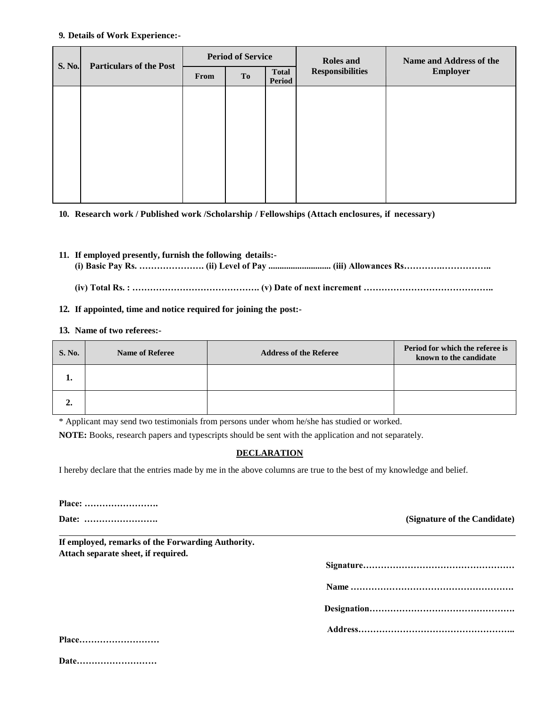#### **9. Details of Work Experience:-**

| S. No. | <b>Particulars of the Post</b> |      | <b>Period of Service</b> |                               | <b>Roles</b> and        | Name and Address of the |
|--------|--------------------------------|------|--------------------------|-------------------------------|-------------------------|-------------------------|
|        |                                | From | To                       | <b>Total</b><br><b>Period</b> | <b>Responsibilities</b> | <b>Employer</b>         |
|        |                                |      |                          |                               |                         |                         |
|        |                                |      |                          |                               |                         |                         |
|        |                                |      |                          |                               |                         |                         |
|        |                                |      |                          |                               |                         |                         |
|        |                                |      |                          |                               |                         |                         |
|        |                                |      |                          |                               |                         |                         |

**10. Research work / Published work /Scholarship / Fellowships (Attach enclosures, if necessary)**

- **11. If employed presently, furnish the following details:- (i) Basic Pay Rs. …………………. (ii) Level of Pay ............................ (iii) Allowances Rs………….……………..**
	- **(iv) Total Rs. : ……………………………………. (v) Date of next increment ……………………………………..**

#### **12. If appointed, time and notice required for joining the post:-**

#### **13. Name of two referees:-**

| <b>S. No.</b> | <b>Name of Referee</b> | <b>Address of the Referee</b> | Period for which the referee is<br>known to the candidate |
|---------------|------------------------|-------------------------------|-----------------------------------------------------------|
|               |                        |                               |                                                           |
|               |                        |                               |                                                           |

\* Applicant may send two testimonials from persons under whom he/she has studied or worked.

**NOTE:** Books, research papers and typescripts should be sent with the application and not separately.

#### **DECLARATION**

I hereby declare that the entries made by me in the above columns are true to the best of my knowledge and belief.

| Place: |  |  |  |  |  |  |  |  |  |  |  |  |  |  |  |  |  |  |  |  |  |  |  |  |
|--------|--|--|--|--|--|--|--|--|--|--|--|--|--|--|--|--|--|--|--|--|--|--|--|--|
|--------|--|--|--|--|--|--|--|--|--|--|--|--|--|--|--|--|--|--|--|--|--|--|--|--|

**Date: ……………………. (Signature of the Candidate)**

**If employed, remarks of the Forwarding Authority. Attach separate sheet, if required.**

**Address……………………………………………..**

| Place |  |  |  |  |  |  |  |  |  |  |  |  |
|-------|--|--|--|--|--|--|--|--|--|--|--|--|
|       |  |  |  |  |  |  |  |  |  |  |  |  |
|       |  |  |  |  |  |  |  |  |  |  |  |  |

**Date………………………**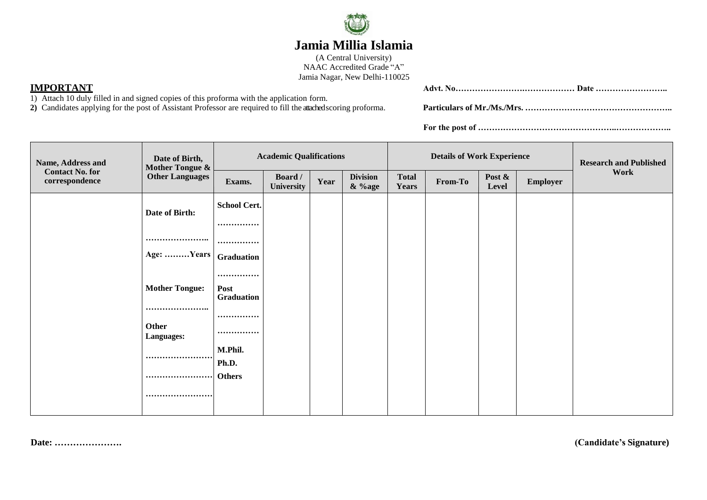

## **Jamia Millia Islamia**

(A Central University) NAAC Accredited Grade "A" Jamia Nagar, New Delhi-110025

**2)** Candidates applying for the post of Assistant Professor are required to fill the attached scoring proforma. **Particulars of Mr./Ms./Mrs. ……………………………………………..**

| IMP                                                                                                                         | Datı<br>Adv+ |
|-----------------------------------------------------------------------------------------------------------------------------|--------------|
| Attach<br>a signed conies<br>$\sim$ of this protorma with the application.<br>$\ldots$ v tilled in and $\ldots$<br>on form. |              |
| $\cdots$ $\sim$ $\cdots$<br>----                                                                                            | .<br>---     |

**For the post of …………………………………………..………………..**

| Name, Address and                        | Date of Birth,<br><b>Mother Tongue &amp;</b> |                     | <b>Academic Qualifications</b> |      |                           |                              | <b>Details of Work Experience</b> |                 |                 | <b>Research and Published</b> |
|------------------------------------------|----------------------------------------------|---------------------|--------------------------------|------|---------------------------|------------------------------|-----------------------------------|-----------------|-----------------|-------------------------------|
| <b>Contact No. for</b><br>correspondence | <b>Other Languages</b>                       | Exams.              | Board /<br>University          | Year | <b>Division</b><br>& %age | <b>Total</b><br><b>Years</b> | From-To                           | Post &<br>Level | <b>Employer</b> | Work                          |
|                                          | Date of Birth:                               | <b>School Cert.</b> |                                |      |                           |                              |                                   |                 |                 |                               |
|                                          |                                              |                     |                                |      |                           |                              |                                   |                 |                 |                               |
|                                          |                                              |                     |                                |      |                           |                              |                                   |                 |                 |                               |
|                                          | Age: Years                                   | Graduation          |                                |      |                           |                              |                                   |                 |                 |                               |
|                                          |                                              |                     |                                |      |                           |                              |                                   |                 |                 |                               |
|                                          | <b>Mother Tongue:</b>                        | Post<br>Graduation  |                                |      |                           |                              |                                   |                 |                 |                               |
|                                          |                                              |                     |                                |      |                           |                              |                                   |                 |                 |                               |
| Other<br>Languages:                      |                                              |                     |                                |      |                           |                              |                                   |                 |                 |                               |
|                                          |                                              | M.Phil.<br>Ph.D.    |                                |      |                           |                              |                                   |                 |                 |                               |
|                                          |                                              | <b>Others</b>       |                                |      |                           |                              |                                   |                 |                 |                               |
|                                          |                                              |                     |                                |      |                           |                              |                                   |                 |                 |                               |

**Date: …………………. (Candidate's Signature)**